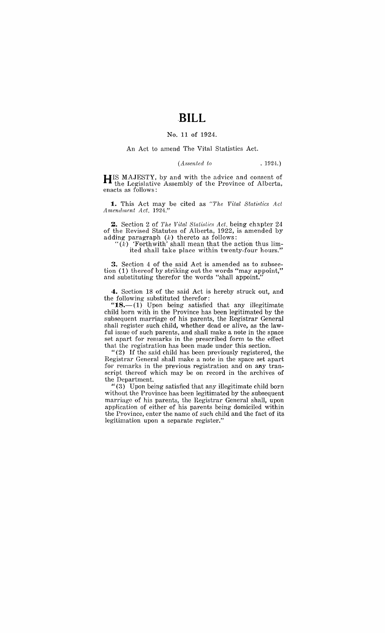## No. 11 of 1924.

## An Act to amend The Vital Statistics Act.

*(A.ssented to* , 1924.)

**HIS** MAJESTY, by and with the advice and consent of the Legislative Assembly of the Province of Alberta, enacts as follows:

**1.** This Act may be cited as "The Vital Statistics Act *Amendment Act, 1924."* 

**2.** Section 2 of *The Vital Statistics Act*, being chapter 24 of the Revised Statutes of Alberta, 1922, is amended by adding paragraph  $(k)$  thereto as follows:

" $(k)$  'Forthwith' shall mean that the action thus limited shall take place within twenty-four hours."

**3.** Section 4 of the said Act is amended as to subsection (1) thereof by striking out the words "may appoint," and substituting therefor the words "shall appoint."

4. Section 18 of the said Act is hereby struck out, and the following substituted therefor:

"18.—(1) Upon being satisfied that any illegitimate. child born with in the Province has been legitimated by the subsequent marriage of his parents, the Registrar General shall register such child, whether dead or alive, as the lawful issue of such parents, and shall make a note in the space set apart for remarks in the prescribed form to the effect that the registration has been made under this section.

"(2) If the said child has been previously registered, the Registrar General shall make a note in the space set apart for remarks in the previous registration and on any transcript thereof which may be on record in the archives of the Department.

" $(3)$  Upon being satisfied that any illegitimate child born without the Province has been legitimated by the subsequent marriage of his parents, the Registrar General shall, upon application of either of his parents being domiciled within the Province, enter the name of such child and the fact of its legitimation upon a separate register."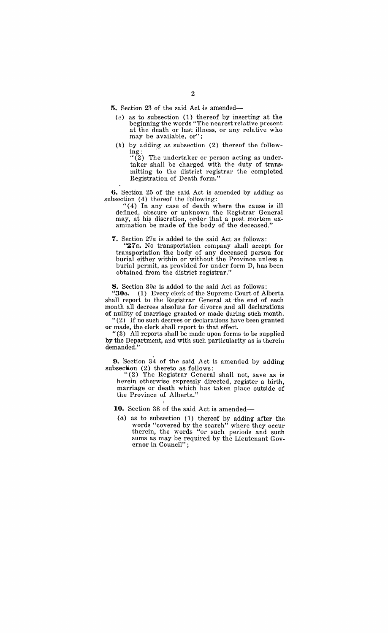**5.** Section 23 of the said Act is amended-

- *(a)* as to subsection (1) thereof by inserting at the beginning the words "The nearest relative present at the death or last illness, or any relative who may be available, or";
- *(b)* by adding as subsection (2) thereof the follow- $\frac{1}{\log 2}$ :

"(2) The undertaker or person acting as undertaker shall be charged with the duty of transmitting to the district registrar the completed Registration of Death form."

**6.** Section 25 of the said Act is amended by adding as subsection (4) thereof the following:

"(4) In any case of death where the cause is ill defined, obscure or unknown the Registrar General may, at his discretion, order that a post mortem examination be made of the body of the deceased."

**7.** Section *27a* is added to the said Act as follows:

" $27a$ . No transportation company shall accept for transportation the body of any deceased person for burial either within or without the Province unless a burial permit, as provided for under form D, has been obtained from the district registrar."

**8.** Section *30a* is added to the said Act as follows:

" $30a$ .  $-(1)$  Every clerk of the Supreme Court of Alberta shall report to the Registrar General at the end of each month all decrees absolute for divorce and all declarations of nullity of marriage granted or made during such month. "(2) If no such decrees or declarations have been granted

or made, the clerk shall report to that effect.

"(3) All reports shall be made upon forms to be supplied by the Department, and with such particularity as is therein demanded."

**9.** Section 34 of the said Act is amended by adding subsection (2) thereto as follows:

"(2) The Registrar General shall not, save as is herein otherwise expressly directed, register a birth, marriage or death which has taken place outside of the Province of Alberta."

10. Section 38 of the said Act is amended-

(a) as to subsection (1) thereof by adding after the words "covered by the search" where they occur therein, the words "or such periods and such sums as may be required by the Lieutenant Governor in Council" ;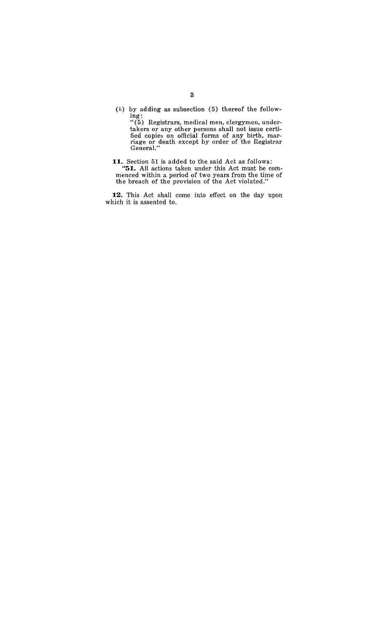(b) by adding as subsection (5) thereof the following:

" (5) Registrars, medical men, clergymen, undertakers or any other persons shall not issue certified copies on official forms of any birth, marriage or death except by order of the Registrar General."

**11.** Section 51 is added to the said Act as follows: **"51.** All actions taken under this Act must be commenced within a period of two years from the time of the breach of the provision of the Act violated."

**12.** This Act shall come into effect on the day upon which it is assented to.